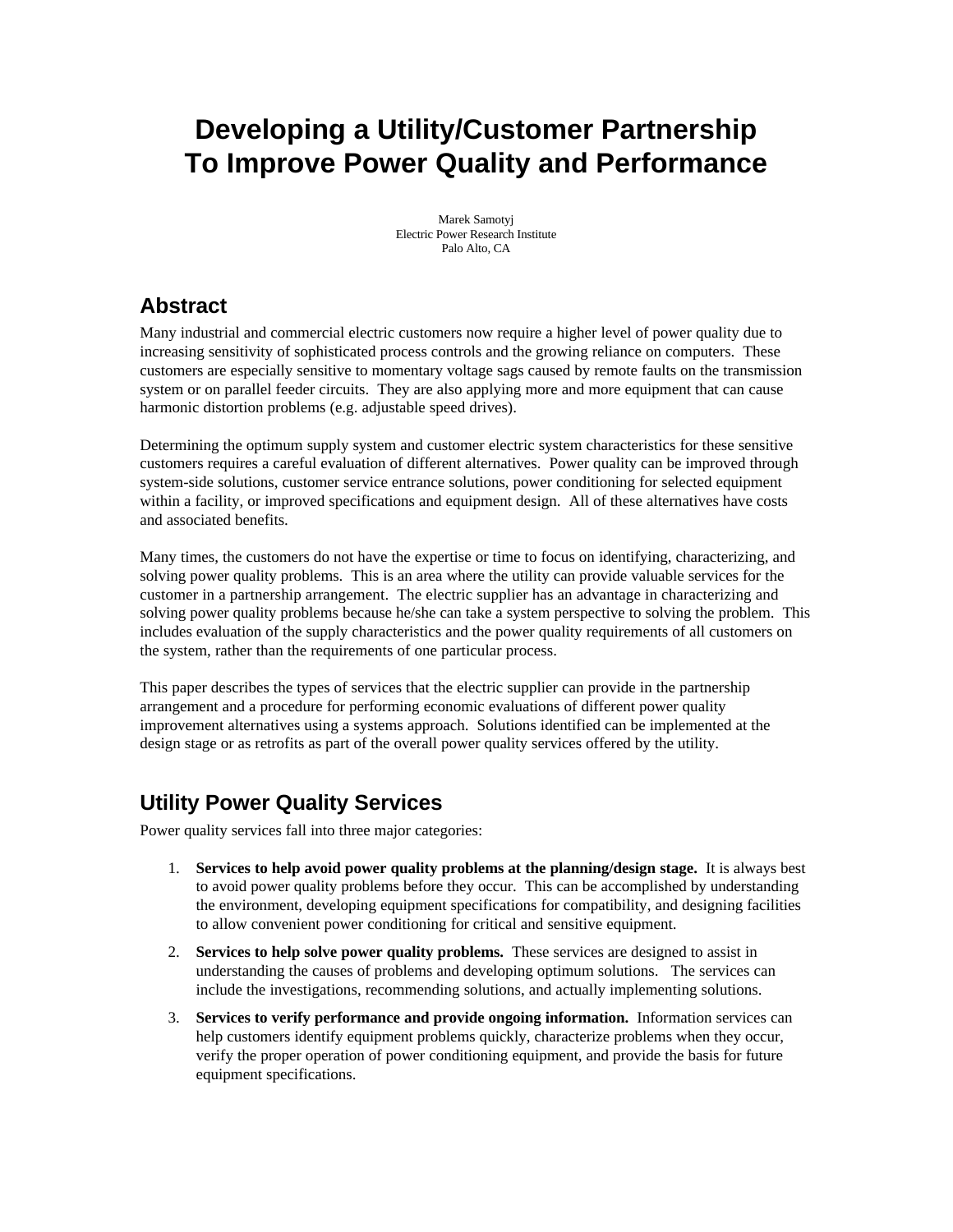# **Developing a Utility/Customer Partnership To Improve Power Quality and Performance**

Marek Samotyj Electric Power Research Institute Palo Alto, CA

### **Abstract**

Many industrial and commercial electric customers now require a higher level of power quality due to increasing sensitivity of sophisticated process controls and the growing reliance on computers. These customers are especially sensitive to momentary voltage sags caused by remote faults on the transmission system or on parallel feeder circuits. They are also applying more and more equipment that can cause harmonic distortion problems (e.g. adjustable speed drives).

Determining the optimum supply system and customer electric system characteristics for these sensitive customers requires a careful evaluation of different alternatives. Power quality can be improved through system-side solutions, customer service entrance solutions, power conditioning for selected equipment within a facility, or improved specifications and equipment design. All of these alternatives have costs and associated benefits.

Many times, the customers do not have the expertise or time to focus on identifying, characterizing, and solving power quality problems. This is an area where the utility can provide valuable services for the customer in a partnership arrangement. The electric supplier has an advantage in characterizing and solving power quality problems because he/she can take a system perspective to solving the problem. This includes evaluation of the supply characteristics and the power quality requirements of all customers on the system, rather than the requirements of one particular process.

This paper describes the types of services that the electric supplier can provide in the partnership arrangement and a procedure for performing economic evaluations of different power quality improvement alternatives using a systems approach. Solutions identified can be implemented at the design stage or as retrofits as part of the overall power quality services offered by the utility.

## **Utility Power Quality Services**

Power quality services fall into three major categories:

- 1. **Services to help avoid power quality problems at the planning/design stage.** It is always best to avoid power quality problems before they occur. This can be accomplished by understanding the environment, developing equipment specifications for compatibility, and designing facilities to allow convenient power conditioning for critical and sensitive equipment.
- 2. **Services to help solve power quality problems.** These services are designed to assist in understanding the causes of problems and developing optimum solutions. The services can include the investigations, recommending solutions, and actually implementing solutions.
- 3. **Services to verify performance and provide ongoing information.** Information services can help customers identify equipment problems quickly, characterize problems when they occur, verify the proper operation of power conditioning equipment, and provide the basis for future equipment specifications.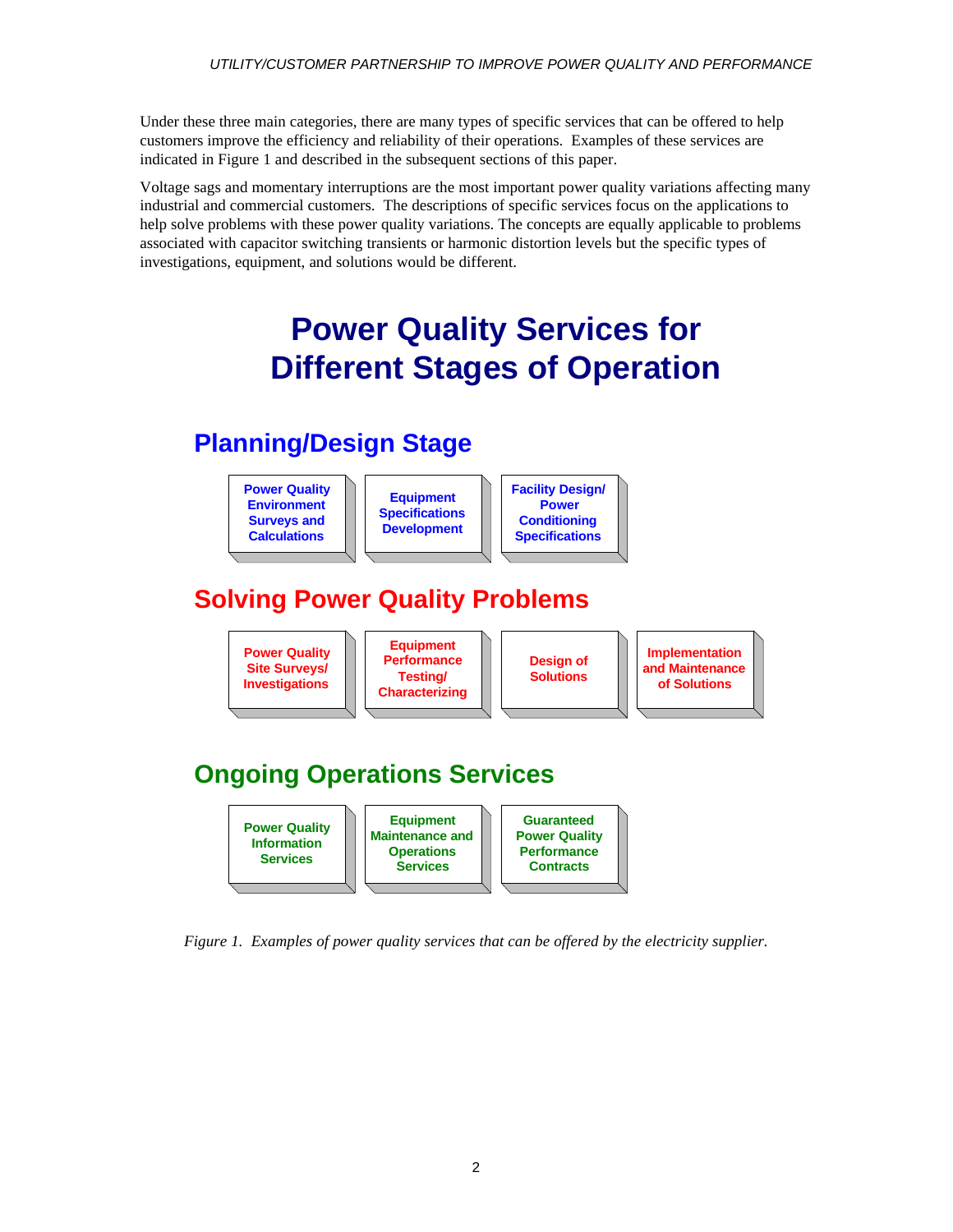Under these three main categories, there are many types of specific services that can be offered to help customers improve the efficiency and reliability of their operations. Examples of these services are indicated in Figure 1 and described in the subsequent sections of this paper.

Voltage sags and momentary interruptions are the most important power quality variations affecting many industrial and commercial customers. The descriptions of specific services focus on the applications to help solve problems with these power quality variations. The concepts are equally applicable to problems associated with capacitor switching transients or harmonic distortion levels but the specific types of investigations, equipment, and solutions would be different.

# **Power Quality Services for Different Stages of Operation**

# **Planning/Design Stage**





*Figure 1. Examples of power quality services that can be offered by the electricity supplier.*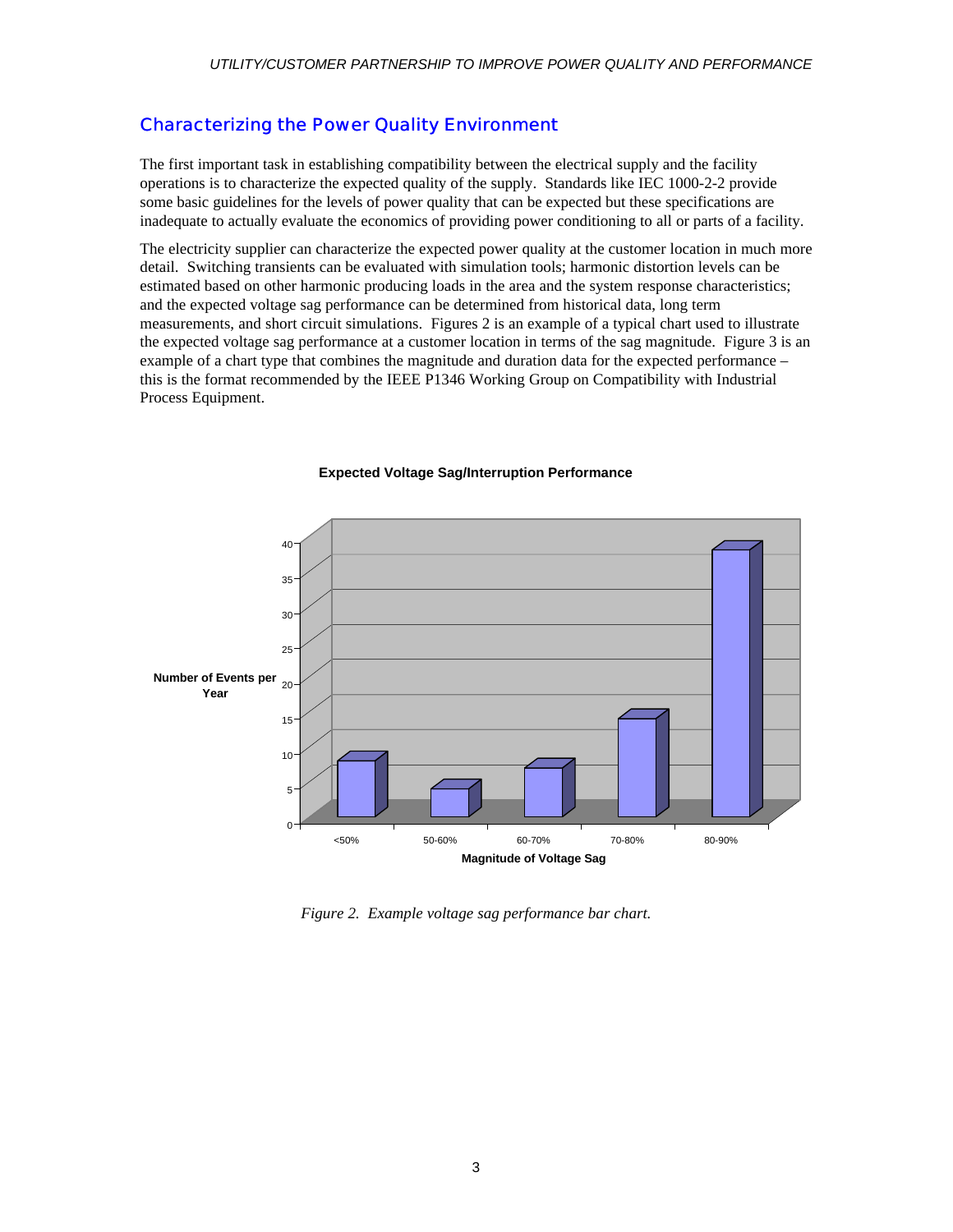#### Characterizing the Power Quality Environment

The first important task in establishing compatibility between the electrical supply and the facility operations is to characterize the expected quality of the supply. Standards like IEC 1000-2-2 provide some basic guidelines for the levels of power quality that can be expected but these specifications are inadequate to actually evaluate the economics of providing power conditioning to all or parts of a facility.

The electricity supplier can characterize the expected power quality at the customer location in much more detail. Switching transients can be evaluated with simulation tools; harmonic distortion levels can be estimated based on other harmonic producing loads in the area and the system response characteristics; and the expected voltage sag performance can be determined from historical data, long term measurements, and short circuit simulations. Figures 2 is an example of a typical chart used to illustrate the expected voltage sag performance at a customer location in terms of the sag magnitude. Figure 3 is an example of a chart type that combines the magnitude and duration data for the expected performance – this is the format recommended by the IEEE P1346 Working Group on Compatibility with Industrial Process Equipment.



#### **Expected Voltage Sag/Interruption Performance**

*Figure 2. Example voltage sag performance bar chart.*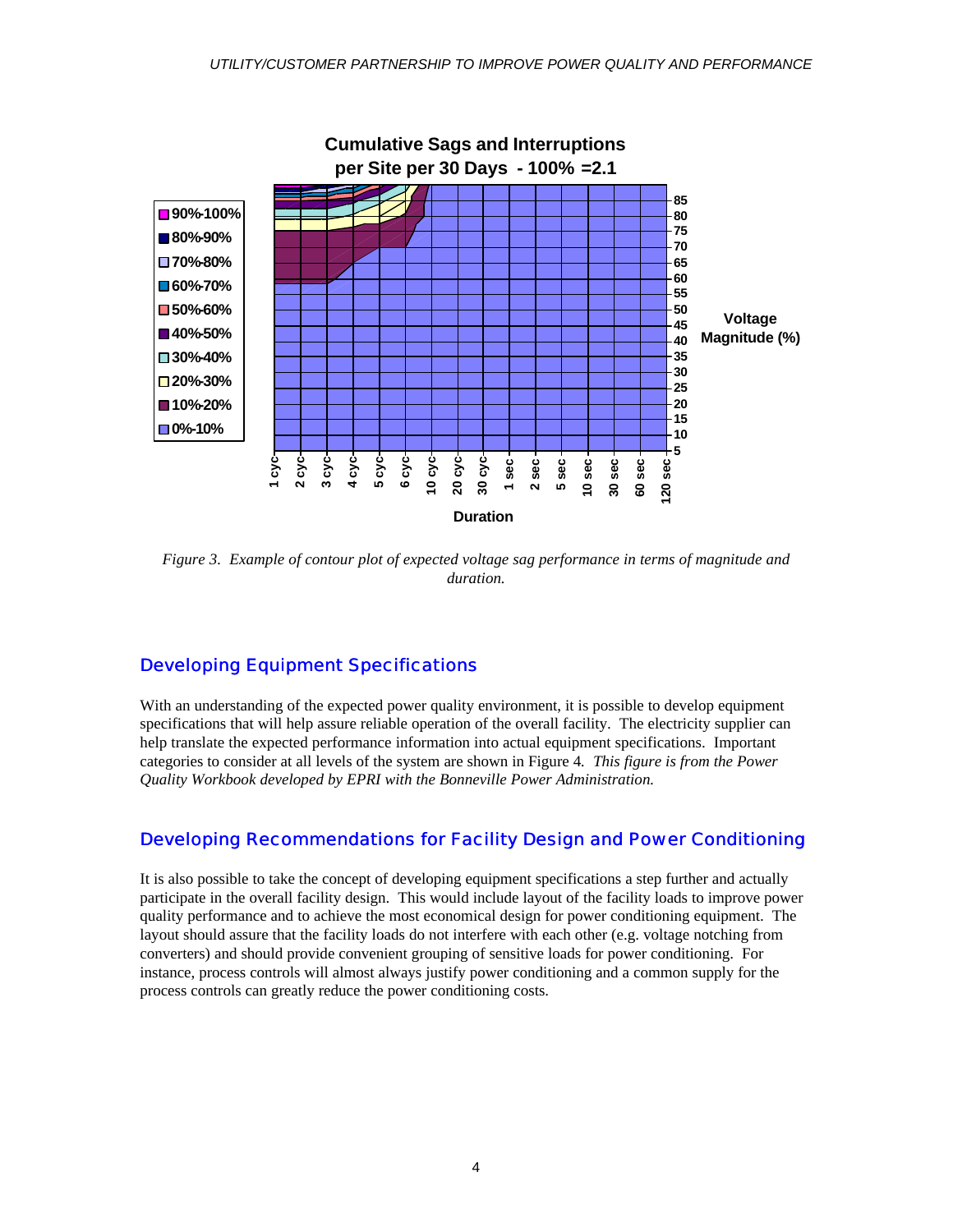

*Figure 3. Example of contour plot of expected voltage sag performance in terms of magnitude and duration.*

#### Developing Equipment Specifications

With an understanding of the expected power quality environment, it is possible to develop equipment specifications that will help assure reliable operation of the overall facility. The electricity supplier can help translate the expected performance information into actual equipment specifications. Important categories to consider at all levels of the system are shown in Figure 4*. This figure is from the Power Quality Workbook developed by EPRI with the Bonneville Power Administration.*

#### Developing Recommendations for Facility Design and Power Conditioning

It is also possible to take the concept of developing equipment specifications a step further and actually participate in the overall facility design. This would include layout of the facility loads to improve power quality performance and to achieve the most economical design for power conditioning equipment. The layout should assure that the facility loads do not interfere with each other (e.g. voltage notching from converters) and should provide convenient grouping of sensitive loads for power conditioning. For instance, process controls will almost always justify power conditioning and a common supply for the process controls can greatly reduce the power conditioning costs.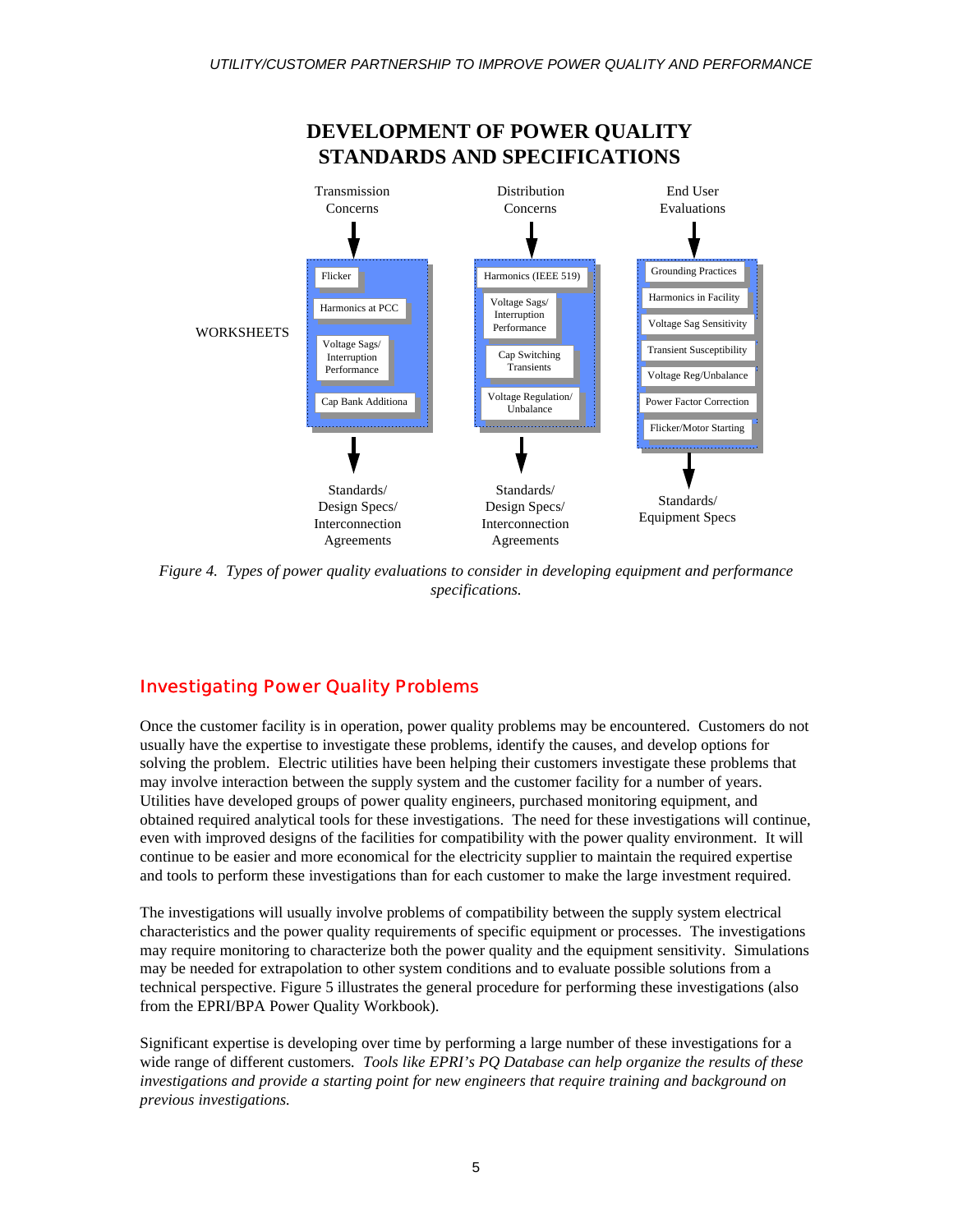

*Figure 4. Types of power quality evaluations to consider in developing equipment and performance specifications.*

#### Investigating Power Quality Problems

Once the customer facility is in operation, power quality problems may be encountered. Customers do not usually have the expertise to investigate these problems, identify the causes, and develop options for solving the problem. Electric utilities have been helping their customers investigate these problems that may involve interaction between the supply system and the customer facility for a number of years. Utilities have developed groups of power quality engineers, purchased monitoring equipment, and obtained required analytical tools for these investigations. The need for these investigations will continue, even with improved designs of the facilities for compatibility with the power quality environment. It will continue to be easier and more economical for the electricity supplier to maintain the required expertise and tools to perform these investigations than for each customer to make the large investment required.

The investigations will usually involve problems of compatibility between the supply system electrical characteristics and the power quality requirements of specific equipment or processes. The investigations may require monitoring to characterize both the power quality and the equipment sensitivity. Simulations may be needed for extrapolation to other system conditions and to evaluate possible solutions from a technical perspective. Figure 5 illustrates the general procedure for performing these investigations (also from the EPRI/BPA Power Quality Workbook).

Significant expertise is developing over time by performing a large number of these investigations for a wide range of different customers*. Tools like EPRI's PQ Database can help organize the results of these investigations and provide a starting point for new engineers that require training and background on previous investigations.*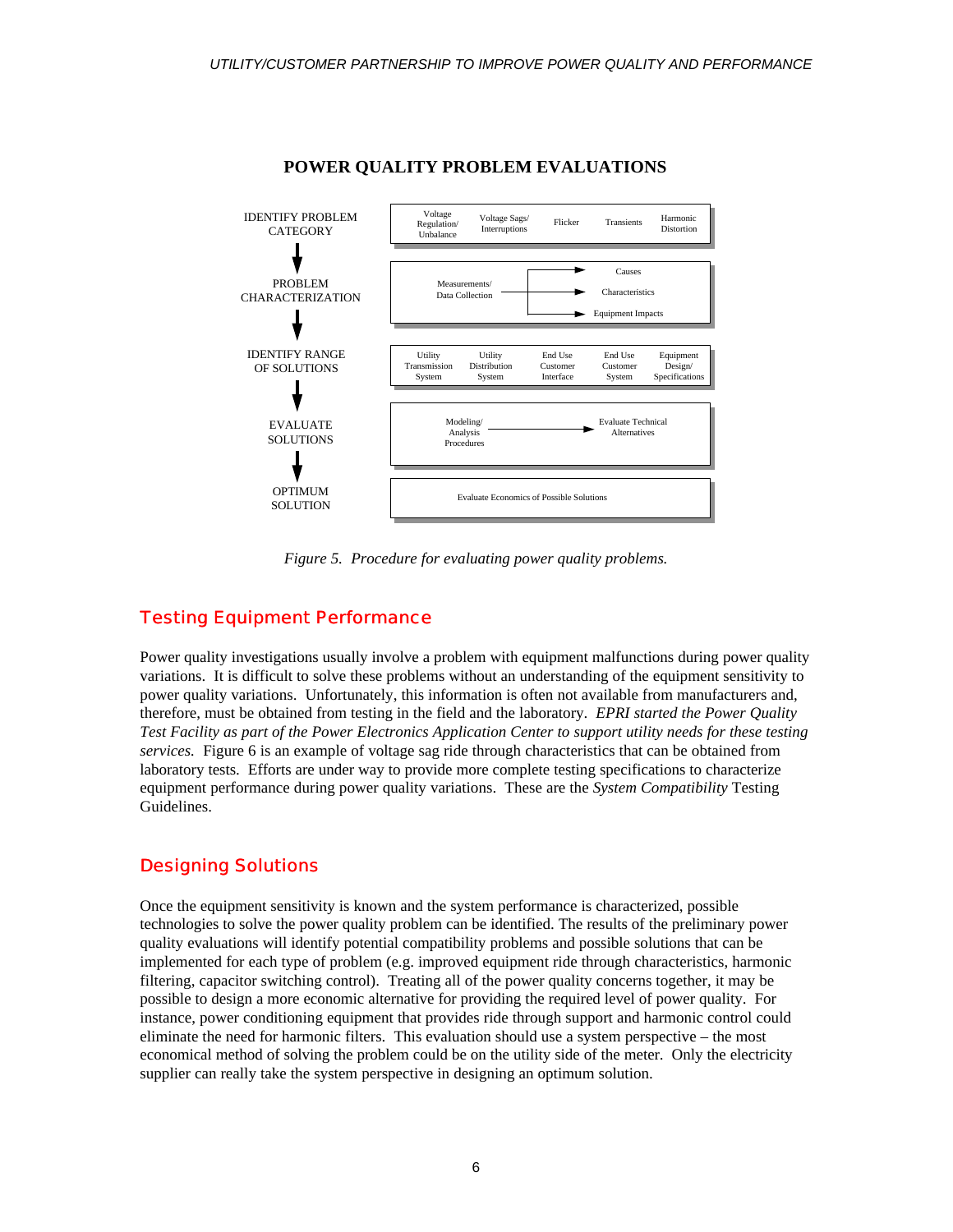

#### **POWER QUALITY PROBLEM EVALUATIONS**

*Figure 5. Procedure for evaluating power quality problems.*

#### Testing Equipment Performance

Power quality investigations usually involve a problem with equipment malfunctions during power quality variations. It is difficult to solve these problems without an understanding of the equipment sensitivity to power quality variations. Unfortunately, this information is often not available from manufacturers and, therefore, must be obtained from testing in the field and the laboratory. *EPRI started the Power Quality Test Facility as part of the Power Electronics Application Center to support utility needs for these testing services.* Figure 6 is an example of voltage sag ride through characteristics that can be obtained from laboratory tests. Efforts are under way to provide more complete testing specifications to characterize equipment performance during power quality variations. These are the *System Compatibility* Testing Guidelines.

#### Designing Solutions

Once the equipment sensitivity is known and the system performance is characterized, possible technologies to solve the power quality problem can be identified. The results of the preliminary power quality evaluations will identify potential compatibility problems and possible solutions that can be implemented for each type of problem (e.g. improved equipment ride through characteristics, harmonic filtering, capacitor switching control). Treating all of the power quality concerns together, it may be possible to design a more economic alternative for providing the required level of power quality. For instance, power conditioning equipment that provides ride through support and harmonic control could eliminate the need for harmonic filters. This evaluation should use a system perspective – the most economical method of solving the problem could be on the utility side of the meter. Only the electricity supplier can really take the system perspective in designing an optimum solution.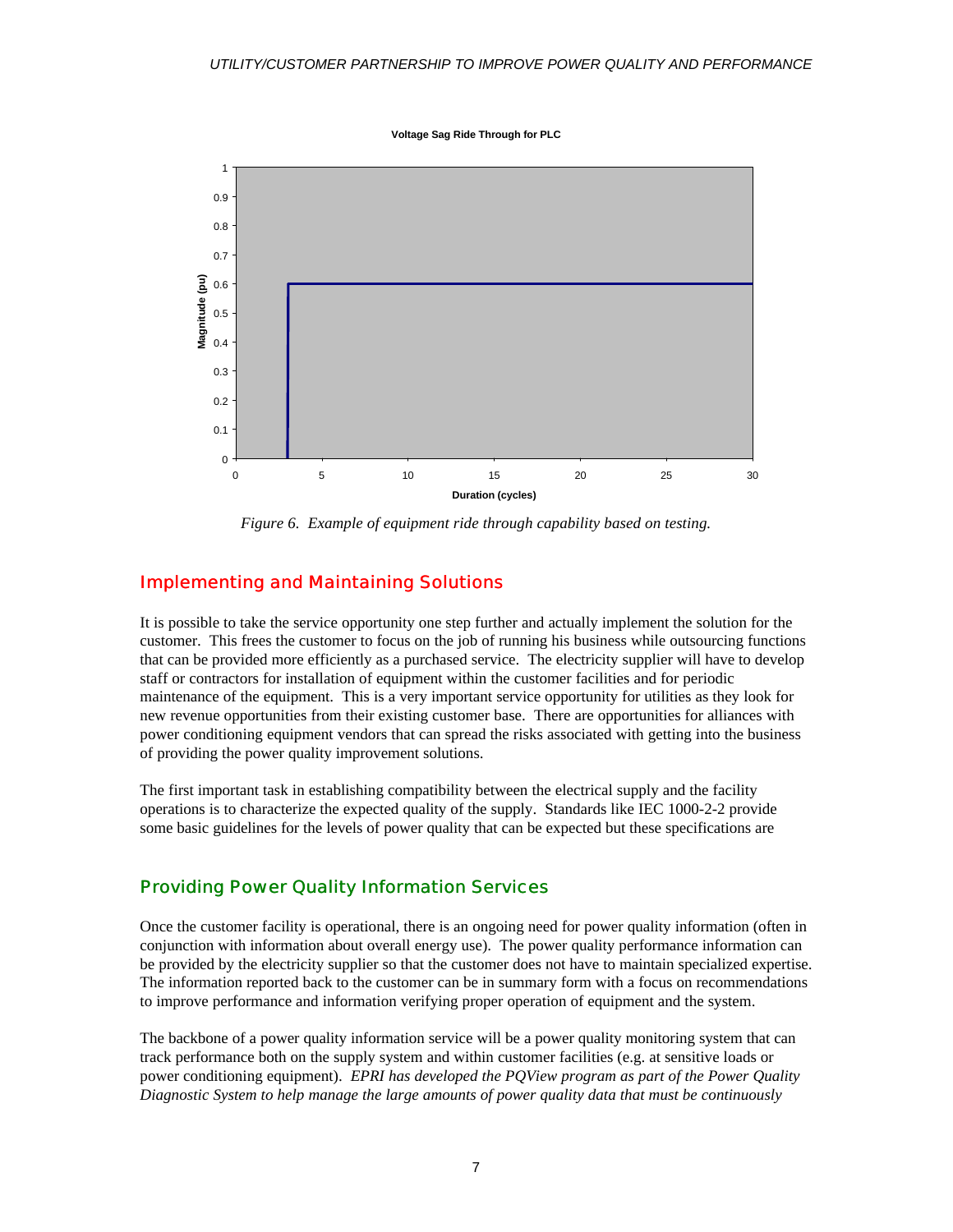**Voltage Sag Ride Through for PLC**



*Figure 6. Example of equipment ride through capability based on testing.*

#### Implementing and Maintaining Solutions

It is possible to take the service opportunity one step further and actually implement the solution for the customer. This frees the customer to focus on the job of running his business while outsourcing functions that can be provided more efficiently as a purchased service. The electricity supplier will have to develop staff or contractors for installation of equipment within the customer facilities and for periodic maintenance of the equipment. This is a very important service opportunity for utilities as they look for new revenue opportunities from their existing customer base. There are opportunities for alliances with power conditioning equipment vendors that can spread the risks associated with getting into the business of providing the power quality improvement solutions.

The first important task in establishing compatibility between the electrical supply and the facility operations is to characterize the expected quality of the supply. Standards like IEC 1000-2-2 provide some basic guidelines for the levels of power quality that can be expected but these specifications are

#### Providing Power Quality Information Services

Once the customer facility is operational, there is an ongoing need for power quality information (often in conjunction with information about overall energy use). The power quality performance information can be provided by the electricity supplier so that the customer does not have to maintain specialized expertise. The information reported back to the customer can be in summary form with a focus on recommendations to improve performance and information verifying proper operation of equipment and the system.

The backbone of a power quality information service will be a power quality monitoring system that can track performance both on the supply system and within customer facilities (e.g. at sensitive loads or power conditioning equipment). *EPRI has developed the PQView program as part of the Power Quality Diagnostic System to help manage the large amounts of power quality data that must be continuously*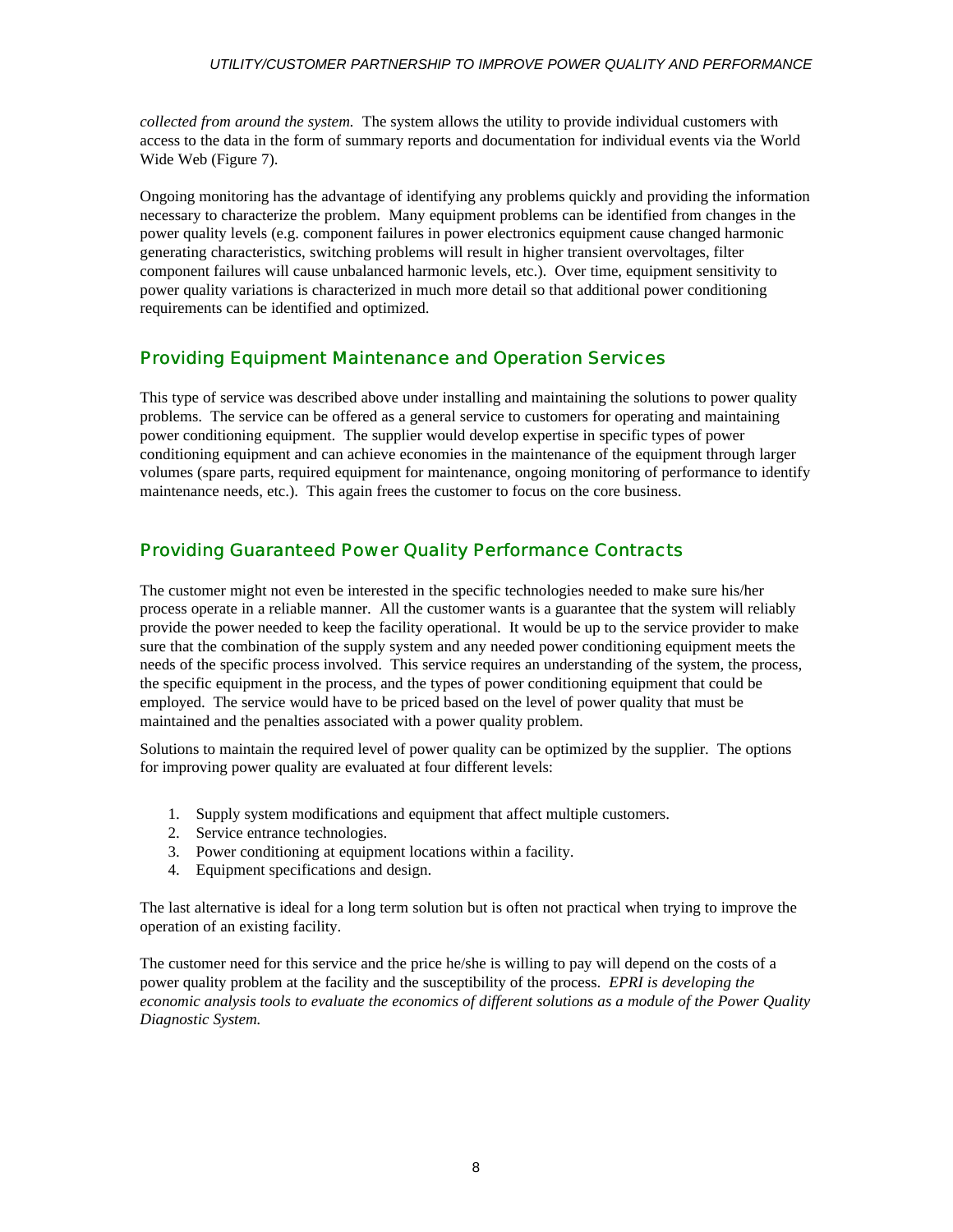*collected from around the system.* The system allows the utility to provide individual customers with access to the data in the form of summary reports and documentation for individual events via the World Wide Web (Figure 7).

Ongoing monitoring has the advantage of identifying any problems quickly and providing the information necessary to characterize the problem. Many equipment problems can be identified from changes in the power quality levels (e.g. component failures in power electronics equipment cause changed harmonic generating characteristics, switching problems will result in higher transient overvoltages, filter component failures will cause unbalanced harmonic levels, etc.). Over time, equipment sensitivity to power quality variations is characterized in much more detail so that additional power conditioning requirements can be identified and optimized.

#### Providing Equipment Maintenance and Operation Services

This type of service was described above under installing and maintaining the solutions to power quality problems. The service can be offered as a general service to customers for operating and maintaining power conditioning equipment. The supplier would develop expertise in specific types of power conditioning equipment and can achieve economies in the maintenance of the equipment through larger volumes (spare parts, required equipment for maintenance, ongoing monitoring of performance to identify maintenance needs, etc.). This again frees the customer to focus on the core business.

#### Providing Guaranteed Power Quality Performance Contracts

The customer might not even be interested in the specific technologies needed to make sure his/her process operate in a reliable manner. All the customer wants is a guarantee that the system will reliably provide the power needed to keep the facility operational. It would be up to the service provider to make sure that the combination of the supply system and any needed power conditioning equipment meets the needs of the specific process involved. This service requires an understanding of the system, the process, the specific equipment in the process, and the types of power conditioning equipment that could be employed. The service would have to be priced based on the level of power quality that must be maintained and the penalties associated with a power quality problem.

Solutions to maintain the required level of power quality can be optimized by the supplier. The options for improving power quality are evaluated at four different levels:

- 1. Supply system modifications and equipment that affect multiple customers.
- 2. Service entrance technologies.
- 3. Power conditioning at equipment locations within a facility.
- 4. Equipment specifications and design.

The last alternative is ideal for a long term solution but is often not practical when trying to improve the operation of an existing facility.

The customer need for this service and the price he/she is willing to pay will depend on the costs of a power quality problem at the facility and the susceptibility of the process. *EPRI is developing the economic analysis tools to evaluate the economics of different solutions as a module of the Power Quality Diagnostic System.*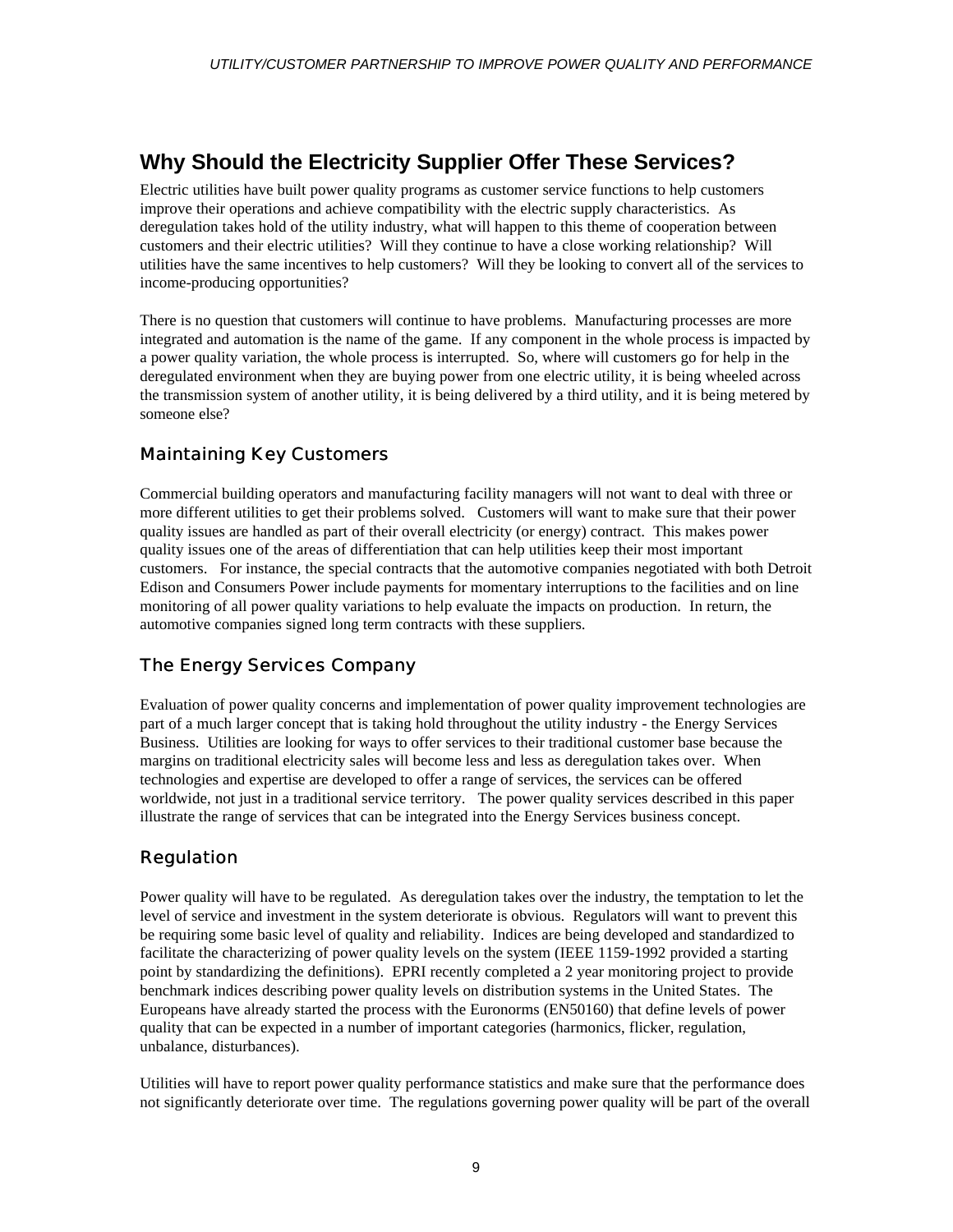## **Why Should the Electricity Supplier Offer These Services?**

Electric utilities have built power quality programs as customer service functions to help customers improve their operations and achieve compatibility with the electric supply characteristics. As deregulation takes hold of the utility industry, what will happen to this theme of cooperation between customers and their electric utilities? Will they continue to have a close working relationship? Will utilities have the same incentives to help customers? Will they be looking to convert all of the services to income-producing opportunities?

There is no question that customers will continue to have problems. Manufacturing processes are more integrated and automation is the name of the game. If any component in the whole process is impacted by a power quality variation, the whole process is interrupted. So, where will customers go for help in the deregulated environment when they are buying power from one electric utility, it is being wheeled across the transmission system of another utility, it is being delivered by a third utility, and it is being metered by someone else?

#### Maintaining Key Customers

Commercial building operators and manufacturing facility managers will not want to deal with three or more different utilities to get their problems solved. Customers will want to make sure that their power quality issues are handled as part of their overall electricity (or energy) contract. This makes power quality issues one of the areas of differentiation that can help utilities keep their most important customers. For instance, the special contracts that the automotive companies negotiated with both Detroit Edison and Consumers Power include payments for momentary interruptions to the facilities and on line monitoring of all power quality variations to help evaluate the impacts on production. In return, the automotive companies signed long term contracts with these suppliers.

#### The Energy Services Company

Evaluation of power quality concerns and implementation of power quality improvement technologies are part of a much larger concept that is taking hold throughout the utility industry - the Energy Services Business. Utilities are looking for ways to offer services to their traditional customer base because the margins on traditional electricity sales will become less and less as deregulation takes over. When technologies and expertise are developed to offer a range of services, the services can be offered worldwide, not just in a traditional service territory. The power quality services described in this paper illustrate the range of services that can be integrated into the Energy Services business concept.

#### Regulation

Power quality will have to be regulated. As deregulation takes over the industry, the temptation to let the level of service and investment in the system deteriorate is obvious. Regulators will want to prevent this be requiring some basic level of quality and reliability. Indices are being developed and standardized to facilitate the characterizing of power quality levels on the system (IEEE 1159-1992 provided a starting point by standardizing the definitions). EPRI recently completed a 2 year monitoring project to provide benchmark indices describing power quality levels on distribution systems in the United States. The Europeans have already started the process with the Euronorms (EN50160) that define levels of power quality that can be expected in a number of important categories (harmonics, flicker, regulation, unbalance, disturbances).

Utilities will have to report power quality performance statistics and make sure that the performance does not significantly deteriorate over time. The regulations governing power quality will be part of the overall